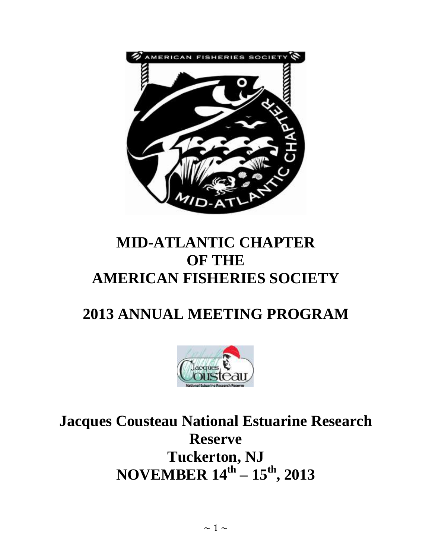

# **MID-ATLANTIC CHAPTER OF THE AMERICAN FISHERIES SOCIETY**

# **2013 ANNUAL MEETING PROGRAM**



**Jacques Cousteau National Estuarine Research Reserve Tuckerton, NJ NOVEMBER 14th – 15th, 2013**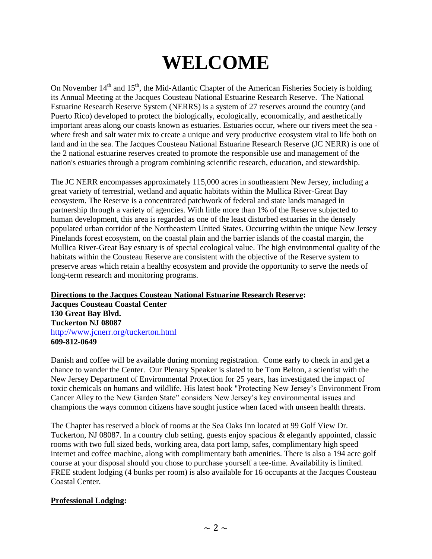# **WELCOME**

On November  $14<sup>th</sup>$  and  $15<sup>th</sup>$ , the Mid-Atlantic Chapter of the American Fisheries Society is holding its Annual Meeting at the Jacques Cousteau National Estuarine Research Reserve. The National Estuarine Research Reserve System (NERRS) is a system of 27 reserves around the country (and Puerto Rico) developed to protect the biologically, ecologically, economically, and aesthetically important areas along our coasts known as estuaries. Estuaries occur, where our rivers meet the sea where fresh and salt water mix to create a unique and very productive ecosystem vital to life both on land and in the sea. The Jacques Cousteau National Estuarine Research Reserve (JC NERR) is one of the 2 national estuarine reserves created to promote the responsible use and management of the nation's estuaries through a program combining scientific research, education, and stewardship.

The JC NERR encompasses approximately 115,000 acres in southeastern New Jersey, including a great variety of terrestrial, wetland and aquatic habitats within the Mullica River-Great Bay ecosystem. The Reserve is a concentrated patchwork of federal and state lands managed in partnership through a variety of agencies. With little more than 1% of the Reserve subjected to human development, this area is regarded as one of the least disturbed estuaries in the densely populated urban corridor of the Northeastern United States. Occurring within the unique New Jersey Pinelands forest ecosystem, on the coastal plain and the barrier islands of the coastal margin, the Mullica River-Great Bay estuary is of special ecological value. The high environmental quality of the habitats within the Cousteau Reserve are consistent with the objective of the Reserve system to preserve areas which retain a healthy ecosystem and provide the opportunity to serve the needs of long-term research and monitoring programs.

# **Directions to the Jacques Cousteau National Estuarine Research Reserve:**

**Jacques Cousteau Coastal Center 130 Great Bay Blvd. Tuckerton NJ 08087** http://www.jcnerr.org/tuckerton.html **609-812-0649**

Danish and coffee will be available during morning registration. Come early to check in and get a chance to wander the Center. Our Plenary Speaker is slated to be Tom Belton, a scientist with the New Jersey Department of Environmental Protection for 25 years, has investigated the impact of toxic chemicals on humans and wildlife. His latest book "Protecting New Jersey's Environment From Cancer Alley to the New Garden State" considers New Jersey's key environmental issues and champions the ways common citizens have sought justice when faced with unseen health threats.

The Chapter has reserved a block of rooms at the Sea Oaks Inn located at 99 Golf View Dr. Tuckerton, NJ 08087. In a country club setting, guests enjoy spacious & elegantly appointed, classic rooms with two full sized beds, working area, data port lamp, safes, complimentary high speed internet and coffee machine, along with complimentary bath amenities. There is also a 194 acre golf course at your disposal should you chose to purchase yourself a tee-time. Availability is limited. FREE student lodging (4 bunks per room) is also available for 16 occupants at the Jacques Cousteau Coastal Center.

# **Professional Lodging:**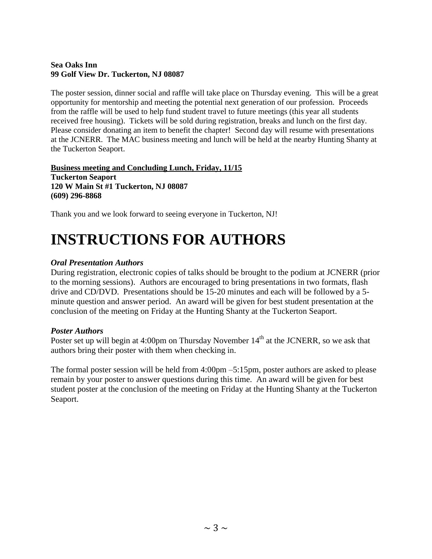# **Sea Oaks Inn 99 Golf View Dr. Tuckerton, NJ 08087**

The poster session, dinner social and raffle will take place on Thursday evening. This will be a great opportunity for mentorship and meeting the potential next generation of our profession. Proceeds from the raffle will be used to help fund student travel to future meetings (this year all students received free housing). Tickets will be sold during registration, breaks and lunch on the first day. Please consider donating an item to benefit the chapter! Second day will resume with presentations at the JCNERR. The MAC business meeting and lunch will be held at the nearby Hunting Shanty at the Tuckerton Seaport.

**Business meeting and Concluding Lunch, Friday, 11/15 Tuckerton Seaport 120 W Main St #1 Tuckerton, NJ 08087 (609) 296-8868**

Thank you and we look forward to seeing everyone in Tuckerton, NJ!

# **INSTRUCTIONS FOR AUTHORS**

# *Oral Presentation Authors*

During registration, electronic copies of talks should be brought to the podium at JCNERR (prior to the morning sessions). Authors are encouraged to bring presentations in two formats, flash drive and CD/DVD. Presentations should be 15-20 minutes and each will be followed by a 5 minute question and answer period. An award will be given for best student presentation at the conclusion of the meeting on Friday at the Hunting Shanty at the Tuckerton Seaport.

# *Poster Authors*

Poster set up will begin at 4:00pm on Thursday November  $14<sup>th</sup>$  at the JCNERR, so we ask that authors bring their poster with them when checking in.

The formal poster session will be held from 4:00pm –5:15pm, poster authors are asked to please remain by your poster to answer questions during this time. An award will be given for best student poster at the conclusion of the meeting on Friday at the Hunting Shanty at the Tuckerton Seaport.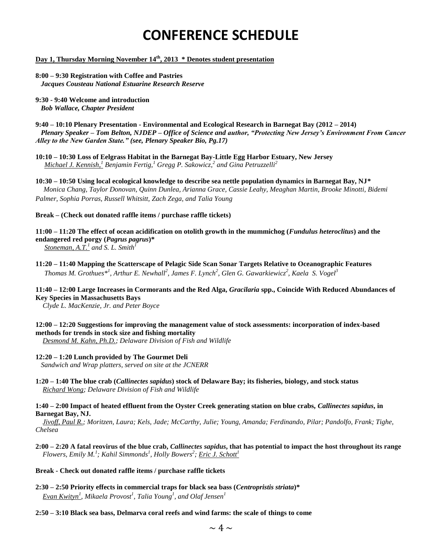# **CONFERENCE SCHEDULE**

#### **Day 1, Thursday Morning November 14 th, 2013 \* Denotes student presentation**

#### **8:00 – 9:30 Registration with Coffee and Pastries**  *Jacques Cousteau National Estuarine Research Reserve*

**9:30 - 9:40 Welcome and introduction**  *Bob Wallace, Chapter President* 

**9:40 – 10:10 Plenary Presentation - Environmental and Ecological Research in Barnegat Bay (2012 – 2014)** *Plenary Speaker – Tom Belton, NJDEP – Office of Science and author, "Protecting New Jersey's Environment From Cancer Alley to the New Garden State." (see, Plenary Speaker Bio, Pg.17)*

**10:10 – 10:30 Loss of Eelgrass Habitat in the Barnegat Bay-Little Egg Harbor Estuary, New Jersey** *Michael J. Kennish,<sup>1</sup> Benjamin Fertig,<sup>1</sup> Gregg P. Sakowicz,<sup>2</sup> and Gina Petruzzelli<sup>2</sup>*

**10:30 – 10:50 Using local ecological knowledge to describe sea nettle population dynamics in Barnegat Bay, NJ\*** *Monica Chang, Taylor Donovan, Quinn Dunlea, Arianna Grace, Cassie Leahy, Meaghan Martin, Brooke Minotti, Bidemi Palmer, Sophia Porras, Russell Whitsitt, Zach Zega, and Talia Young*

#### **Break – (Check out donated raffle items / purchase raffle tickets)**

**11:00 – 11:20 The effect of ocean acidification on otolith growth in the mummichog (***Fundulus heteroclitus***) and the endangered red porgy (***Pagrus pagrus***)\*** *Stoneman, A.T.*<sup>*1</sup></sup> and S. L. Smith*<sup>*1*</sup></sup>

**11:20 – 11:40 Mapping the Scatterscape of Pelagic Side Scan Sonar Targets Relative to Oceanographic Features** *Thomas M. Grothues\*<sup>1</sup> , Arthur E. Newhall<sup>2</sup> , James F. Lynch<sup>2</sup> , Glen G. Gawarkiewicz<sup>2</sup> , Kaela S. Vogel<sup>3</sup>*

**11:40 – 12:00 Large Increases in Cormorants and the Red Alga,** *Gracilaria* **spp., Coincide With Reduced Abundances of Key Species in Massachusetts Bays**

*Clyde L. MacKenzie, Jr. and Peter Boyce*

**12:00 – 12:20 Suggestions for improving the management value of stock assessments: incorporation of index-based methods for trends in stock size and fishing mortality**

*Desmond M. Kahn, Ph.D.; Delaware Division of Fish and Wildlife*

#### **12:20 – 1:20 Lunch provided by The Gourmet Deli**

 *Sandwich and Wrap platters, served on site at the JCNERR* 

**1:20 – 1:40 The blue crab (***Callinectes sapidus***) stock of Delaware Bay; its fisheries, biology, and stock status** *Richard Wong; Delaware Division of Fish and Wildlife*

#### **1:40 – 2:00 Impact of heated effluent from the Oyster Creek generating station on blue crabs,** *Callinectes sapidus***, in Barnegat Bay, NJ.**

*Jivoff, Paul R.; Moritzen, Laura; Kels, Jade; McCarthy, Julie; Young, Amanda; Ferdinando, Pilar; Pandolfo, Frank; Tighe, Chelsea* 

**2:00 – 2:20 A fatal reovirus of the blue crab,** *Callinectes sapidus***, that has potential to impact the host throughout its range** *Flowers, Emily M.<sup>1</sup> ; Kahil Simmonds<sup>1</sup> , Holly Bowers<sup>2</sup> ; Eric J. Schott<sup>1</sup>*

#### **Break - Check out donated raffle items / purchase raffle tickets**

- **2:30 – 2:50 Priority effects in commercial traps for black sea bass (***Centropristis striata***)\*** *Evan Kwityn<sup>1</sup> , Mikaela Provost<sup>1</sup> , Talia Young<sup>1</sup> , and Olaf Jensen<sup>1</sup>*
- **2:50 – 3:10 Black sea bass, Delmarva coral reefs and wind farms: the scale of things to come**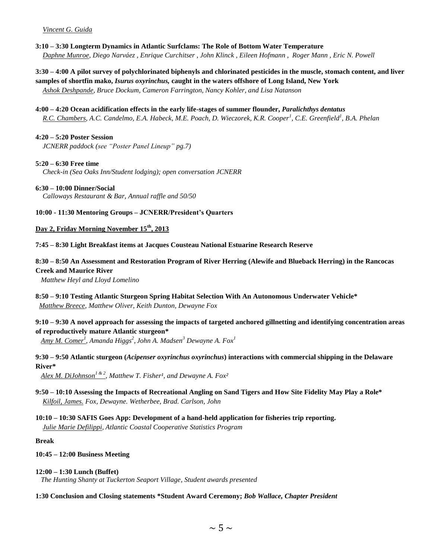#### *Vincent G. Guida*

- **3:10 – 3:30 Longterm Dynamics in Atlantic Surfclams: The Role of Bottom Water Temperature** *Daphne Munroe, Diego Narváez , Enrique Curchitser , John Klinck , Eileen Hofmann , Roger Mann , Eric N. Powell*
- **3:30 – 4:00 A pilot survey of polychlorinated biphenyls and chlorinated pesticides in the muscle, stomach content, and liver samples of shortfin mako,** *Isurus oxyrinchus,* **caught in the waters offshore of Long Island, New York** *Ashok Deshpande, Bruce Dockum, Cameron Farrington, Nancy Kohler, and Lisa Natanson*
- **4:00 – 4:20 Ocean acidification effects in the early life-stages of summer flounder,** *Paralichthys dentatus* *R.C. Chambers, A.C. Candelmo, E.A. Habeck, M.E. Poach, D. Wieczorek, K.R. Cooper<sup>1</sup> , C.E. Greenfield<sup>1</sup> , B.A. Phelan*

#### **4:20 – 5:20 Poster Session**

*JCNERR paddock (see "Poster Panel Lineup" pg.7)* 

#### **5:20 – 6:30 Free time**

*Check-in (Sea Oaks Inn/Student lodging); open conversation JCNERR* 

#### **6:30 – 10:00 Dinner/Social**

*Calloways Restaurant & Bar, Annual raffle and 50/50* 

#### **10:00 - 11:30 Mentoring Groups – JCNERR/President's Quarters**

#### **Day 2, Friday Morning November 15th, 2013**

**7:45 – 8:30 Light Breakfast items at Jacques Cousteau National Estuarine Research Reserve**

#### **8:30 – 8:50 An Assessment and Restoration Program of River Herring (Alewife and Blueback Herring) in the Rancocas Creek and Maurice River**

*Matthew Heyl and Lloyd Lomelino*

**8:50 – 9:10 Testing Atlantic Sturgeon Spring Habitat Selection With An Autonomous Underwater Vehicle\***  *Matthew Breece, Matthew Oliver, Keith Dunton, Dewayne Fox* 

#### **9:10 – 9:30 A novel approach for assessing the impacts of targeted anchored gillnetting and identifying concentration areas of reproductively mature Atlantic sturgeon\***

*Amy M. Comer<sup>1</sup> , Amanda Higgs<sup>2</sup> , John A. Madsen<sup>3</sup> Dewayne A. Fox<sup>1</sup>*

**9:30 – 9:50 Atlantic sturgeon (***Acipenser oxyrinchus oxyrinchus***) interactions with commercial shipping in the Delaware River\***

Alex M. DiJohnson<sup>1 & 2</sup>, Matthew T. Fisher<sup>1</sup>, and Dewayne A. Fox<sup>2</sup>

- **9:50 – 10:10 Assessing the Impacts of Recreational Angling on Sand Tigers and How Site Fidelity May Play a Role\*** *Kilfoil, James. Fox, Dewayne. Wetherbee, Brad. Carlson, John*
- **10:10 – 10:30 SAFIS Goes App: Development of a hand-held application for fisheries trip reporting.** *Julie Marie Defilippi, Atlantic Coastal Cooperative Statistics Program*

#### **Break**

#### **10:45 – 12:00 Business Meeting**

#### **12:00 – 1:30 Lunch (Buffet)**

*The Hunting Shanty at Tuckerton Seaport Village, Student awards presented*

#### **1:30 Conclusion and Closing statements \*Student Award Ceremony;** *Bob Wallace, Chapter President*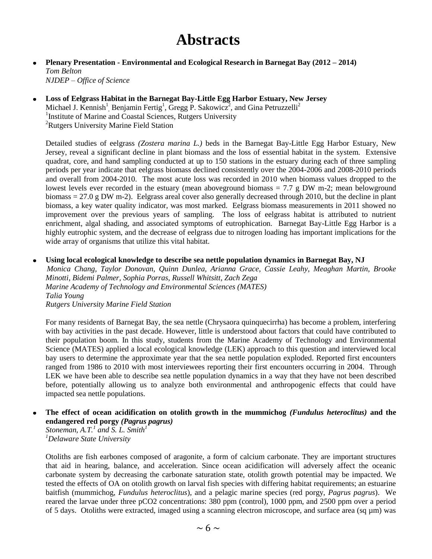# **Abstracts**

#### **Plenary Presentation - Environmental and Ecological Research in Barnegat Bay (2012 – 2014)** *Tom Belton* *NJDEP – Office of Science*

**Loss of Eelgrass Habitat in the Barnegat Bay-Little Egg Harbor Estuary, New Jersey** Michael J. Kennish<sup>1</sup>, Benjamin Fertig<sup>1</sup>, Gregg P. Sakowicz<sup>2</sup>, and Gina Petruzzelli<sup>2</sup> <sup>1</sup>Institute of Marine and Coastal Sciences, Rutgers University <sup>2</sup>Rutgers University Marine Field Station

Detailed studies of eelgrass *(Zostera marina L.)* beds in the Barnegat Bay-Little Egg Harbor Estuary, New Jersey, reveal a significant decline in plant biomass and the loss of essential habitat in the system. Extensive quadrat, core, and hand sampling conducted at up to 150 stations in the estuary during each of three sampling periods per year indicate that eelgrass biomass declined consistently over the 2004-2006 and 2008-2010 periods and overall from 2004-2010. The most acute loss was recorded in 2010 when biomass values dropped to the lowest levels ever recorded in the estuary (mean aboveground biomass  $= 7.7 \text{ g DW m-2}$ ; mean belowground biomass = 27.0 g DW m-2). Eelgrass areal cover also generally decreased through 2010, but the decline in plant biomass, a key water quality indicator, was most marked. Eelgrass biomass measurements in 2011 showed no improvement over the previous years of sampling. The loss of eelgrass habitat is attributed to nutrient enrichment, algal shading, and associated symptoms of eutrophication. Barnegat Bay-Little Egg Harbor is a highly eutrophic system, and the decrease of eelgrass due to nitrogen loading has important implications for the wide array of organisms that utilize this vital habitat.

**Using local ecological knowledge to describe sea nettle population dynamics in Barnegat Bay, NJ**  $\bullet$ 

*Monica Chang, Taylor Donovan, Quinn Dunlea, Arianna Grace, Cassie Leahy, Meaghan Martin, Brooke Minotti, Bidemi Palmer, Sophia Porras, Russell Whitsitt, Zach Zega Marine Academy of Technology and Environmental Sciences (MATES) Talia Young Rutgers University Marine Field Station*

For many residents of Barnegat Bay, the sea nettle (Chrysaora quinquecirrha) has become a problem, interfering with bay activities in the past decade. However, little is understood about factors that could have contributed to their population boom. In this study, students from the Marine Academy of Technology and Environmental Science (MATES) applied a local ecological knowledge (LEK) approach to this question and interviewed local bay users to determine the approximate year that the sea nettle population exploded. Reported first encounters ranged from 1986 to 2010 with most interviewees reporting their first encounters occurring in 2004. Through LEK we have been able to describe sea nettle population dynamics in a way that they have not been described before, potentially allowing us to analyze both environmental and anthropogenic effects that could have impacted sea nettle populations.

**The effect of ocean acidification on otolith growth in the mummichog** *(Fundulus heteroclitus)* **and the**   $\bullet$ **endangered red porgy** *(Pagrus pagrus)*

*Stoneman, A.T.<sup>1</sup> and S. L. Smith<sup>1</sup> <sup>1</sup>Delaware State University*

Otoliths are fish earbones composed of aragonite, a form of calcium carbonate. They are important structures that aid in hearing, balance, and acceleration. Since ocean acidification will adversely affect the oceanic carbonate system by decreasing the carbonate saturation state, otolith growth potential may be impacted. We tested the effects of OA on otolith growth on larval fish species with differing habitat requirements; an estuarine baitfish (mummichog, *Fundulus heteroclitus*), and a pelagic marine species (red porgy, *Pagrus pagrus*). We reared the larvae under three pCO2 concentrations: 380 ppm (control), 1000 ppm, and 2500 ppm over a period of 5 days. Otoliths were extracted, imaged using a scanning electron microscope, and surface area (sq µm) was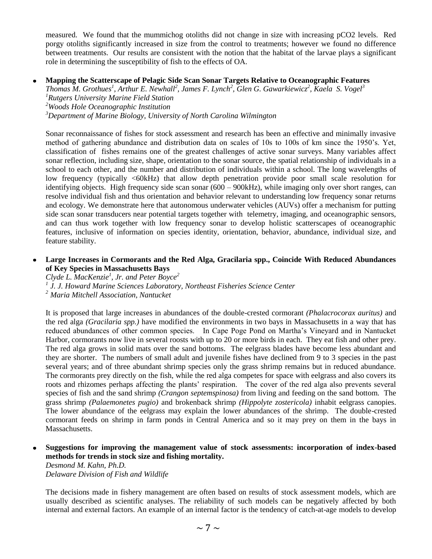measured. We found that the mummichog otoliths did not change in size with increasing pCO2 levels. Red porgy otoliths significantly increased in size from the control to treatments; however we found no difference between treatments. Our results are consistent with the notion that the habitat of the larvae plays a significant role in determining the susceptibility of fish to the effects of OA.

#### **Mapping the Scatterscape of Pelagic Side Scan Sonar Targets Relative to Oceanographic Features**

*Thomas M. Grothues<sup>1</sup> , Arthur E. Newhall<sup>2</sup> , James F. Lynch<sup>2</sup> , Glen G. Gawarkiewicz<sup>2</sup> , Kaela S. Vogel<sup>3</sup> <sup>1</sup>Rutgers University Marine Field Station <sup>2</sup>Woods Hole Oceanographic Institution*

*<sup>3</sup>Department of Marine Biology, University of North Carolina Wilmington*

Sonar reconnaissance of fishes for stock assessment and research has been an effective and minimally invasive method of gathering abundance and distribution data on scales of 10s to 100s of km since the 1950's. Yet, classification of fishes remains one of the greatest challenges of active sonar surveys. Many variables affect sonar reflection, including size, shape, orientation to the sonar source, the spatial relationship of individuals in a school to each other, and the number and distribution of individuals within a school. The long wavelengths of low frequency (typically <60kHz) that allow depth penetration provide poor small scale resolution for identifying objects. High frequency side scan sonar (600 – 900kHz), while imaging only over short ranges, can resolve individual fish and thus orientation and behavior relevant to understanding low frequency sonar returns and ecology. We demonstrate here that autonomous underwater vehicles (AUVs) offer a mechanism for putting side scan sonar transducers near potential targets together with telemetry, imaging, and oceanographic sensors, and can thus work together with low frequency sonar to develop holistic scatterscapes of oceanographic features, inclusive of information on species identity, orientation, behavior, abundance, individual size, and feature stability.

#### **Large Increases in Cormorants and the Red Alga, Gracilaria spp., Coincide With Reduced Abundances of Key Species in Massachusetts Bays**

*Clyde L. MacKenzie<sup>1</sup> , Jr. and Peter Boyce<sup>2</sup> 1 J. J. Howard Marine Sciences Laboratory, Northeast Fisheries Science Center <sup>2</sup> Maria Mitchell Association, Nantucket*

It is proposed that large increases in abundances of the double-crested cormorant *(Phalacrocorax auritus)* and the red alga *(Gracilaria spp.)* have modified the environments in two bays in Massachusetts in a way that has reduced abundances of other common species. In Cape Poge Pond on Martha's Vineyard and in Nantucket Harbor, cormorants now live in several roosts with up to 20 or more birds in each. They eat fish and other prey. The red alga grows in solid mats over the sand bottoms. The eelgrass blades have become less abundant and they are shorter. The numbers of small adult and juvenile fishes have declined from 9 to 3 species in the past several years; and of three abundant shrimp species only the grass shrimp remains but in reduced abundance. The cormorants prey directly on the fish, while the red alga competes for space with eelgrass and also covers its roots and rhizomes perhaps affecting the plants' respiration. The cover of the red alga also prevents several species of fish and the sand shrimp *(Crangon septemspinosa)* from living and feeding on the sand bottom. The grass shrimp *(Palaemonetes pugio)* and brokenback shrimp *(Hippolyte zostericola)* inhabit eelgrass canopies. The lower abundance of the eelgrass may explain the lower abundances of the shrimp. The double-crested cormorant feeds on shrimp in farm ponds in Central America and so it may prey on them in the bays in Massachusetts.

### **Suggestions for improving the management value of stock assessments: incorporation of index-based methods for trends in stock size and fishing mortality.**

*Desmond M. Kahn, Ph.D. Delaware Division of Fish and Wildlife*

The decisions made in fishery management are often based on results of stock assessment models, which are usually described as scientific analyses. The reliability of such models can be negatively affected by both internal and external factors. An example of an internal factor is the tendency of catch-at-age models to develop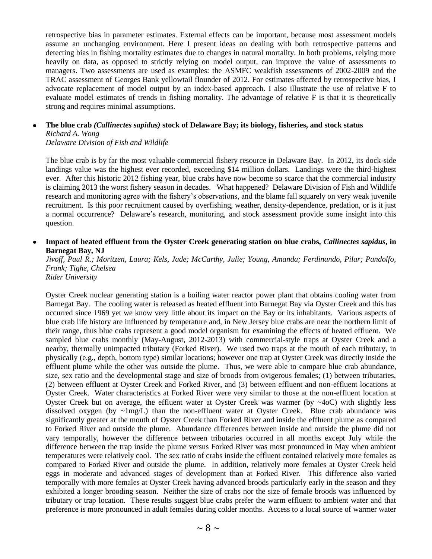retrospective bias in parameter estimates. External effects can be important, because most assessment models assume an unchanging environment. Here I present ideas on dealing with both retrospective patterns and detecting bias in fishing mortality estimates due to changes in natural mortality. In both problems, relying more heavily on data, as opposed to strictly relying on model output, can improve the value of assessments to managers. Two assessments are used as examples: the ASMFC weakfish assessments of 2002-2009 and the TRAC assessment of Georges Bank yellowtail flounder of 2012. For estimates affected by retrospective bias, I advocate replacement of model output by an index-based approach. I also illustrate the use of relative F to evaluate model estimates of trends in fishing mortality. The advantage of relative F is that it is theoretically strong and requires minimal assumptions.

## **The blue crab** *(Callinectes sapidus)* **stock of Delaware Bay; its biology, fisheries, and stock status** *Richard A. Wong*

*Delaware Division of Fish and Wildlife*

The blue crab is by far the most valuable commercial fishery resource in Delaware Bay. In 2012, its dock-side landings value was the highest ever recorded, exceeding \$14 million dollars. Landings were the third-highest ever. After this historic 2012 fishing year, blue crabs have now become so scarce that the commercial industry is claiming 2013 the worst fishery season in decades. What happened? Delaware Division of Fish and Wildlife research and monitoring agree with the fishery's observations, and the blame fall squarely on very weak juvenile recruitment. Is this poor recruitment caused by overfishing, weather, density-dependence, predation, or is it just a normal occurrence? Delaware's research, monitoring, and stock assessment provide some insight into this question.

### **Impact of heated effluent from the Oyster Creek generating station on blue crabs,** *Callinectes sapidus***, in Barnegat Bay, NJ**

*Jivoff, Paul R.; Moritzen, Laura; Kels, Jade; McCarthy, Julie; Young, Amanda; Ferdinando, Pilar; Pandolfo, Frank; Tighe, Chelsea Rider University*

Oyster Creek nuclear generating station is a boiling water reactor power plant that obtains cooling water from Barnegat Bay. The cooling water is released as heated effluent into Barnegat Bay via Oyster Creek and this has occurred since 1969 yet we know very little about its impact on the Bay or its inhabitants. Various aspects of blue crab life history are influenced by temperature and, in New Jersey blue crabs are near the northern limit of their range, thus blue crabs represent a good model organism for examining the effects of heated effluent. We sampled blue crabs monthly (May-August, 2012-2013) with commercial-style traps at Oyster Creek and a nearby, thermally unimpacted tributary (Forked River). We used two traps at the mouth of each tributary, in physically (e.g., depth, bottom type) similar locations; however one trap at Oyster Creek was directly inside the effluent plume while the other was outside the plume. Thus, we were able to compare blue crab abundance, size, sex ratio and the developmental stage and size of broods from ovigerous females; (1) between tributaries, (2) between effluent at Oyster Creek and Forked River, and (3) between effluent and non-effluent locations at Oyster Creek. Water characteristics at Forked River were very similar to those at the non-effluent location at Oyster Creek but on average, the effluent water at Oyster Creek was warmer (by  $\sim$ 4oC) with slightly less dissolved oxygen (by  $\sim 1$ mg/L) than the non-effluent water at Oyster Creek. Blue crab abundance was significantly greater at the mouth of Oyster Creek than Forked River and inside the effluent plume as compared to Forked River and outside the plume. Abundance differences between inside and outside the plume did not vary temporally, however the difference between tributaries occurred in all months except July while the difference between the trap inside the plume versus Forked River was most pronounced in May when ambient temperatures were relatively cool. The sex ratio of crabs inside the effluent contained relatively more females as compared to Forked River and outside the plume. In addition, relatively more females at Oyster Creek held eggs in moderate and advanced stages of development than at Forked River. This difference also varied temporally with more females at Oyster Creek having advanced broods particularly early in the season and they exhibited a longer brooding season. Neither the size of crabs nor the size of female broods was influenced by tributary or trap location. These results suggest blue crabs prefer the warm effluent to ambient water and that preference is more pronounced in adult females during colder months. Access to a local source of warmer water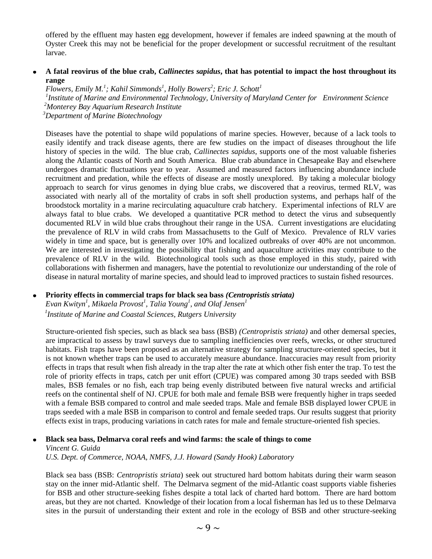offered by the effluent may hasten egg development, however if females are indeed spawning at the mouth of Oyster Creek this may not be beneficial for the proper development or successful recruitment of the resultant larvae.

#### **A fatal reovirus of the blue crab,** *Callinectes sapidus***, that has potential to impact the host throughout its**   $\bullet$ **range**

*Flowers, Emily M.<sup>1</sup> ; Kahil Simmonds<sup>1</sup> , Holly Bowers<sup>2</sup> ; Eric J. Schott<sup>1</sup> 1 Institute of Marine and Environmental Technology, University of Maryland Center for Environment Science <sup>2</sup>Monterey Bay Aquarium Research Institute*

*<sup>3</sup>Department of Marine Biotechnology*

Diseases have the potential to shape wild populations of marine species. However, because of a lack tools to easily identify and track disease agents, there are few studies on the impact of diseases throughout the life history of species in the wild. The blue crab, *Callinectes sapidus*, supports one of the most valuable fisheries along the Atlantic coasts of North and South America. Blue crab abundance in Chesapeake Bay and elsewhere undergoes dramatic fluctuations year to year. Assumed and measured factors influencing abundance include recruitment and predation, while the effects of disease are mostly unexplored. By taking a molecular biology approach to search for virus genomes in dying blue crabs, we discovered that a reovirus, termed RLV, was associated with nearly all of the mortality of crabs in soft shell production systems, and perhaps half of the broodstock mortality in a marine recirculating aquaculture crab hatchery. Experimental infections of RLV are always fatal to blue crabs. We developed a quantitative PCR method to detect the virus and subsequently documented RLV in wild blue crabs throughout their range in the USA. Current investigations are elucidating the prevalence of RLV in wild crabs from Massachusetts to the Gulf of Mexico. Prevalence of RLV varies widely in time and space, but is generally over 10% and localized outbreaks of over 40% are not uncommon. We are interested in investigating the possibility that fishing and aquaculture activities may contribute to the prevalence of RLV in the wild. Biotechnological tools such as those employed in this study, paired with collaborations with fishermen and managers, have the potential to revolutionize our understanding of the role of disease in natural mortality of marine species, and should lead to improved practices to sustain fished resources*.*

#### **Priority effects in commercial traps for black sea bass** *(Centropristis striata)*  $\bullet$

 *Evan Kwityn<sup>1</sup> , Mikaela Provost<sup>1</sup> , Talia Young<sup>1</sup> , and Olaf Jensen<sup>1</sup> 1 Institute of Marine and Coastal Sciences, Rutgers University*

> Structure-oriented fish species, such as black sea bass (BSB) *(Centropristis striata)* and other demersal species, are impractical to assess by trawl surveys due to sampling inefficiencies over reefs, wrecks, or other structured habitats. Fish traps have been proposed as an alternative strategy for sampling structure-oriented species, but it is not known whether traps can be used to accurately measure abundance. Inaccuracies may result from priority effects in traps that result when fish already in the trap alter the rate at which other fish enter the trap. To test the role of priority effects in traps, catch per unit effort (CPUE) was compared among 30 traps seeded with BSB males, BSB females or no fish, each trap being evenly distributed between five natural wrecks and artificial reefs on the continental shelf of NJ. CPUE for both male and female BSB were frequently higher in traps seeded with a female BSB compared to control and male seeded traps. Male and female BSB displayed lower CPUE in traps seeded with a male BSB in comparison to control and female seeded traps. Our results suggest that priority effects exist in traps, producing variations in catch rates for male and female structure-oriented fish species.

#### **Black sea bass, Delmarva coral reefs and wind farms: the scale of things to come** *Vincent G. Guida*

*U.S. Dept. of Commerce, NOAA, NMFS, J.J. Howard (Sandy Hook) Laboratory*

Black sea bass (BSB: *Centropristis striata*) seek out structured hard bottom habitats during their warm season stay on the inner mid-Atlantic shelf. The Delmarva segment of the mid-Atlantic coast supports viable fisheries for BSB and other structure-seeking fishes despite a total lack of charted hard bottom. There are hard bottom areas, but they are not charted. Knowledge of their location from a local fisherman has led us to these Delmarva sites in the pursuit of understanding their extent and role in the ecology of BSB and other structure-seeking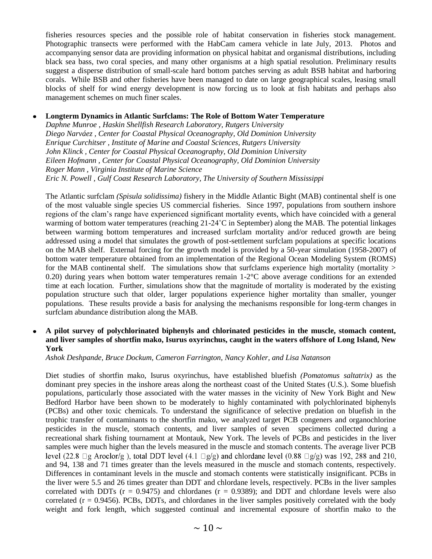fisheries resources species and the possible role of habitat conservation in fisheries stock management. Photographic transects were performed with the HabCam camera vehicle in late July, 2013. Photos and accompanying sensor data are providing information on physical habitat and organismal distributions, including black sea bass, two coral species, and many other organisms at a high spatial resolution. Preliminary results suggest a disperse distribution of small-scale hard bottom patches serving as adult BSB habitat and harboring corals. While BSB and other fisheries have been managed to date on large geographical scales, leasing small blocks of shelf for wind energy development is now forcing us to look at fish habitats and perhaps also management schemes on much finer scales.

#### **Longterm Dynamics in Atlantic Surfclams: The Role of Bottom Water Temperature**  $\bullet$

*Daphne Munroe , Haskin Shellfish Research Laboratory, Rutgers University Diego Narváez , Center for Coastal Physical Oceanography, Old Dominion University Enrique Curchitser , Institute of Marine and Coastal Sciences, Rutgers University John Klinck , Center for Coastal Physical Oceanography, Old Dominion University Eileen Hofmann , Center for Coastal Physical Oceanography, Old Dominion University Roger Mann , Virginia Institute of Marine Science Eric N. Powell , Gulf Coast Research Laboratory, The University of Southern Mississippi*

The Atlantic surfclam *(Spisula solidissima)* fishery in the Middle Atlantic Bight (MAB) continental shelf is one of the most valuable single species US commercial fisheries. Since 1997, populations from southern inshore regions of the clam's range have experienced significant mortality events, which have coincided with a general warming of bottom water temperatures (reaching 21-24<sup>°</sup>C in September) along the MAB. The potential linkages between warming bottom temperatures and increased surfclam mortality and/or reduced growth are being addressed using a model that simulates the growth of post-settlement surfclam populations at specific locations on the MAB shelf. External forcing for the growth model is provided by a 50-year simulation (1958-2007) of bottom water temperature obtained from an implementation of the Regional Ocean Modeling System (ROMS) for the MAB continental shelf. The simulations show that surfclams experience high mortality (mortality  $>$ 0.20) during years when bottom water temperatures remain  $1\n-2$ °C above average conditions for an extended time at each location. Further, simulations show that the magnitude of mortality is moderated by the existing population structure such that older, larger populations experience higher mortality than smaller, younger populations. These results provide a basis for analysing the mechanisms responsible for long-term changes in surfclam abundance distribution along the MAB.

### **A pilot survey of polychlorinated biphenyls and chlorinated pesticides in the muscle, stomach content, and liver samples of shortfin mako, Isurus oxyrinchus, caught in the waters offshore of Long Island, New York**

*Ashok Deshpande, Bruce Dockum, Cameron Farrington, Nancy Kohler, and Lisa Natanson*

Diet studies of shortfin mako, Isurus oxyrinchus, have established bluefish *(Pomatomus saltatrix)* as the dominant prey species in the inshore areas along the northeast coast of the United States (U.S.). Some bluefish populations, particularly those associated with the water masses in the vicinity of New York Bight and New Bedford Harbor have been shown to be moderately to highly contaminated with polychlorinated biphenyls (PCBs) and other toxic chemicals. To understand the significance of selective predation on bluefish in the trophic transfer of contaminants to the shortfin mako, we analyzed target PCB congeners and organochlorine pesticides in the muscle, stomach contents, and liver samples of seven specimens collected during a recreational shark fishing tournament at Montauk, New York. The levels of PCBs and pesticides in the liver samples were much higher than the levels measured in the muscle and stomach contents. The average liver PCB level (22.8  $\Box$ g Aroclor/g), total DDT level (4.1  $\Box$ g/g) and chlordane level (0.88  $\Box$ g/g) was 192, 288 and 210, and 94, 138 and 71 times greater than the levels measured in the muscle and stomach contents, respectively. Differences in contaminant levels in the muscle and stomach contents were statistically insignificant. PCBs in the liver were 5.5 and 26 times greater than DDT and chlordane levels, respectively. PCBs in the liver samples correlated with DDTs  $(r = 0.9475)$  and chlordanes  $(r = 0.9389)$ ; and DDT and chlordane levels were also correlated  $(r = 0.9456)$ . PCBs, DDTs, and chlordanes in the liver samples positively correlated with the body weight and fork length, which suggested continual and incremental exposure of shortfin mako to the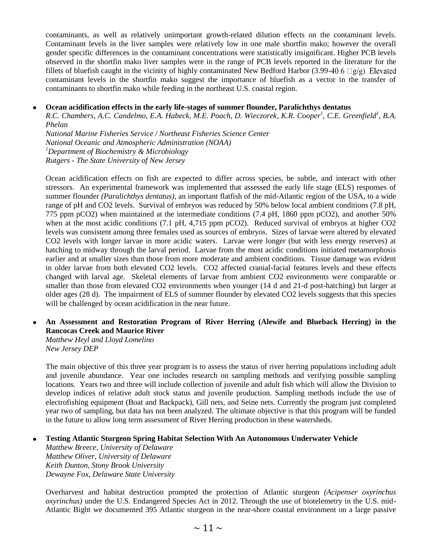contaminants, as well as relatively unimportant growth-related dilution effects on the contaminant levels. Contaminant levels in the liver samples were relatively low in one male shortfin mako; however the overall gender specific differences in the contaminant concentrations were statistically insignificant. Higher PCB levels observed in the shortfin mako liver samples were in the range of PCB levels reported in the literature for the fillets of bluefish caught in the vicinity of highly contaminated New Bedford Harbor (3.99-40.6  $\Box$ g/g). Elevated contaminant levels in the shortfin mako suggest the importance of bluefish as a vector in the transfer of contaminants to shortfin mako while feeding in the northeast U.S. coastal region.

#### **Ocean acidification effects in the early life-stages of summer flounder, Paralichthys dentatus**  $\bullet$

*R.C. Chambers, A.C. Candelmo, E.A. Habeck, M.E. Poach, D. Wieczorek, K.R. Cooper<sup>1</sup> , C.E. Greenfield<sup>1</sup> , B.A. Phelan*

*National Marine Fisheries Service / Northeast Fisheries Science Center National Oceanic and Atmospheric Administration (NOAA) <sup>1</sup>Department of Biochemistry & Microbiology Rutgers - The State University of New Jersey*

Ocean acidification effects on fish are expected to differ across species, be subtle, and interact with other stressors. An experimental framework was implemented that assessed the early life stage (ELS) responses of summer flounder *(Paralichthys dentatus)*, an important flatfish of the mid-Atlantic region of the USA, to a wide range of pH and CO2 levels. Survival of embryos was reduced by 50% below local ambient conditions (7.8 pH, 775 ppm pCO2) when maintained at the intermediate conditions (7.4 pH, 1860 ppm pCO2), and another 50% when at the most acidic conditions (7.1 pH, 4,715 ppm pCO2). Reduced survival of embryos at higher CO2 levels was consistent among three females used as sources of embryos. Sizes of larvae were altered by elevated CO2 levels with longer larvae in more acidic waters. Larvae were longer (but with less energy reserves) at hatching to midway through the larval period. Larvae from the most acidic conditions initiated metamorphosis earlier and at smaller sizes than those from more moderate and ambient conditions. Tissue damage was evident in older larvae from both elevated CO2 levels. CO2 affected cranial-facial features levels and these effects changed with larval age. Skeletal elements of larvae from ambient CO2 environments were comparable or smaller than those from elevated CO2 environments when younger (14 d and 21-d post-hatching) but larger at older ages (28 d). The impairment of ELS of summer flounder by elevated CO2 levels suggests that this species will be challenged by ocean acidification in the near future.

# **An Assessment and Restoration Program of River Herring (Alewife and Blueback Herring) in the Rancocas Creek and Maurice River**

*Matthew Heyl and Lloyd Lomelino New Jersey DEP*

The main objective of this three year program is to assess the status of river herring populations including adult and juvenile abundance. Year one includes research on sampling methods and verifying possible sampling locations. Years two and three will include collection of juvenile and adult fish which will allow the Division to develop indices of relative adult stock status and juvenile production. Sampling methods include the use of electrofishing equipment (Boat and Backpack), Gill nets, and Seine nets. Currently the program just completed year two of sampling, but data has not been analyzed. The ultimate objective is that this program will be funded in the future to allow long term assessment of River Herring production in these watersheds.

#### **Testing Atlantic Sturgeon Spring Habitat Selection With An Autonomous Underwater Vehicle**

*Matthew Breece, University of Delaware Matthew Oliver, University of Delaware Keith Dunton, Stony Brook University Dewayne Fox, Delaware State University*

Overharvest and habitat destruction prompted the protection of Atlantic sturgeon *(Acipenser oxyrinchus oxyrinchus)* under the U.S. Endangered Species Act in 2012. Through the use of biotelemetry in the U.S. mid-Atlantic Bight we documented 395 Atlantic sturgeon in the near-shore coastal environment on a large passive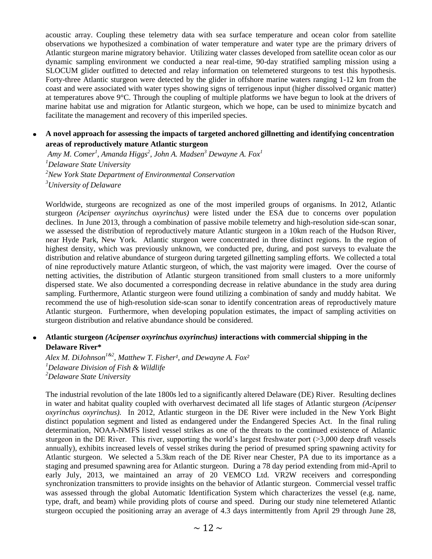acoustic array. Coupling these telemetry data with sea surface temperature and ocean color from satellite observations we hypothesized a combination of water temperature and water type are the primary drivers of Atlantic sturgeon marine migratory behavior. Utilizing water classes developed from satellite ocean color as our dynamic sampling environment we conducted a near real-time, 90-day stratified sampling mission using a SLOCUM glider outfitted to detected and relay information on telemetered sturgeons to test this hypothesis. Forty-three Atlantic sturgeon were detected by the glider in offshore marine waters ranging 1-12 km from the coast and were associated with water types showing signs of terrigenous input (higher dissolved organic matter) at temperatures above  $9^{\circ}$ C. Through the coupling of multiple platforms we have begun to look at the drivers of marine habitat use and migration for Atlantic sturgeon, which we hope, can be used to minimize bycatch and facilitate the management and recovery of this imperiled species.

# **A novel approach for assessing the impacts of targeted anchored gillnetting and identifying concentration areas of reproductively mature Atlantic sturgeon**

*Amy M. Comer<sup>1</sup> , Amanda Higgs<sup>2</sup> , John A. Madsen<sup>3</sup> Dewayne A. Fox<sup>1</sup> Delaware State University New York State Department of Environmental Conservation University of Delaware*

Worldwide, sturgeons are recognized as one of the most imperiled groups of organisms. In 2012, Atlantic sturgeon *(Acipenser oxyrinchus oxyrinchus)* were listed under the ESA due to concerns over population declines. In June 2013, through a combination of passive mobile telemetry and high-resolution side-scan sonar, we assessed the distribution of reproductively mature Atlantic sturgeon in a 10km reach of the Hudson River, near Hyde Park, New York. Atlantic sturgeon were concentrated in three distinct regions. In the region of highest density, which was previously unknown, we conducted pre, during, and post surveys to evaluate the distribution and relative abundance of sturgeon during targeted gillnetting sampling efforts. We collected a total of nine reproductively mature Atlantic sturgeon, of which, the vast majority were imaged. Over the course of netting activities, the distribution of Atlantic sturgeon transitioned from small clusters to a more uniformly dispersed state. We also documented a corresponding decrease in relative abundance in the study area during sampling. Furthermore, Atlantic sturgeon were found utilizing a combination of sandy and muddy habitat. We recommend the use of high-resolution side-scan sonar to identify concentration areas of reproductively mature Atlantic sturgeon. Furthermore, when developing population estimates, the impact of sampling activities on sturgeon distribution and relative abundance should be considered.

# **Atlantic sturgeon** *(Acipenser oxyrinchus oxyrinchus)* **interactions with commercial shipping in the Delaware River\***

*Alex M. DiJohnson<sup>1&2</sup>*, *Matthew T. Fisher<sup>1</sup>, and Dewayne A. Fox<sup>2</sup> <sup>1</sup>Delaware Division of Fish & Wildlife <sup>2</sup>Delaware State University*

The industrial revolution of the late 1800s led to a significantly altered Delaware (DE) River. Resulting declines in water and habitat quality coupled with overharvest decimated all life stages of Atlantic sturgeon *(Acipenser oxyrinchus oxyrinchus).* In 2012, Atlantic sturgeon in the DE River were included in the New York Bight distinct population segment and listed as endangered under the Endangered Species Act. In the final ruling determination, NOAA-NMFS listed vessel strikes as one of the threats to the continued existence of Atlantic sturgeon in the DE River. This river, supporting the world's largest freshwater port (>3,000 deep draft vessels annually), exhibits increased levels of vessel strikes during the period of presumed spring spawning activity for Atlantic sturgeon. We selected a 5.3km reach of the DE River near Chester, PA due to its importance as a staging and presumed spawning area for Atlantic sturgeon. During a 78 day period extending from mid-April to early July, 2013, we maintained an array of 20 VEMCO Ltd. VR2W receivers and corresponding synchronization transmitters to provide insights on the behavior of Atlantic sturgeon. Commercial vessel traffic was assessed through the global Automatic Identification System which characterizes the vessel (e.g. name, type, draft, and beam) while providing plots of course and speed. During our study nine telemetered Atlantic sturgeon occupied the positioning array an average of 4.3 days intermittently from April 29 through June 28,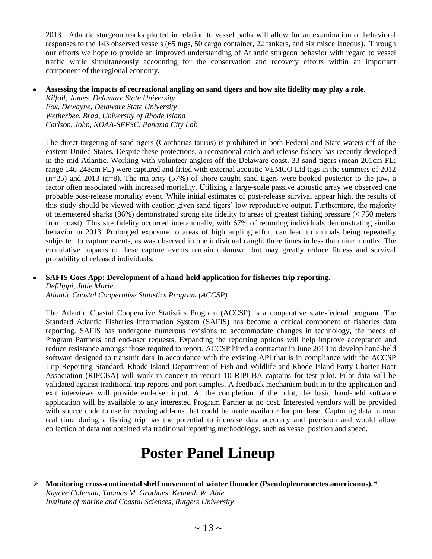2013. Atlantic sturgeon tracks plotted in relation to vessel paths will allow for an examination of behavioral responses to the 143 observed vessels (65 tugs, 50 cargo container, 22 tankers, and six miscellaneous). Through our efforts we hope to provide an improved understanding of Atlantic sturgeon behavior with regard to vessel traffic while simultaneously accounting for the conservation and recovery efforts within an important component of the regional economy.

#### **Assessing the impacts of recreational angling on sand tigers and how site fidelity may play a role.**

*Kilfoil, James, Delaware State University Fox, Dewayne, Delaware State University Wetherbee, Brad, University of Rhode Island Carlson, John, NOAA-SEFSC, Panama City Lab*

The direct targeting of sand tigers (Carcharias taurus) is prohibited in both Federal and State waters off of the eastern United States. Despite these protections, a recreational catch-and-release fishery has recently developed in the mid-Atlantic. Working with volunteer anglers off the Delaware coast, 33 sand tigers (mean 201cm FL; range 146-248cm FL) were captured and fitted with external acoustic VEMCO Ltd tags in the summers of 2012  $(n=25)$  and 2013 (n=8). The majority (57%) of shore-caught sand tigers were hooked posterior to the jaw, a factor often associated with increased mortality. Utilizing a large-scale passive acoustic array we observed one probable post-release mortality event. While initial estimates of post-release survival appear high, the results of this study should be viewed with caution given sand tigers' low reproductive output. Furthermore, the majority of telemetered sharks (86%) demonstrated strong site fidelity to areas of greatest fishing pressure (< 750 meters from coast). This site fidelity occurred interannually, with 67% of returning individuals demonstrating similar behavior in 2013. Prolonged exposure to areas of high angling effort can lead to animals being repeatedly subjected to capture events, as was observed in one individual caught three times in less than nine months. The cumulative impacts of these capture events remain unknown, but may greatly reduce fitness and survival probability of released individuals.

#### **SAFIS Goes App: Development of a hand-held application for fisheries trip reporting.**  $\bullet$

*Defilippi, Julie Marie*

*Atlantic Coastal Cooperative Statistics Program (ACCSP)*

The Atlantic Coastal Cooperative Statistics Program (ACCSP) is a cooperative state-federal program. The Standard Atlantic Fisheries Information System (SAFIS) has become a critical component of fisheries data reporting. SAFIS has undergone numerous revisions to accommodate changes in technology, the needs of Program Partners and end-user requests. Expanding the reporting options will help improve acceptance and reduce resistance amongst those required to report. ACCSP hired a contractor in June 2013 to develop hand-held software designed to transmit data in accordance with the existing API that is in compliance with the ACCSP Trip Reporting Standard. Rhode Island Department of Fish and Wildlife and Rhode Island Party Charter Boat Association (RIPCBA) will work in concert to recruit 10 RIPCBA captains for test pilot. Pilot data will be validated against traditional trip reports and port samples. A feedback mechanism built in to the application and exit interviews will provide end-user input. At the completion of the pilot, the basic hand-held software application will be available to any interested Program Partner at no cost. Interested vendors will be provided with source code to use in creating add-ons that could be made available for purchase. Capturing data in near real time during a fishing trip has the potential to increase data accuracy and precision and would allow collection of data not obtained via traditional reporting methodology, such as vessel position and speed.

# **Poster Panel Lineup**

 **Monitoring cross-continental shelf movement of winter flounder (Pseudopleuronectes americanus).\*** *Kaycee Coleman, Thomas M. Grothues, Kenneth W. Able Institute of marine and Coastal Sciences, Rutgers University*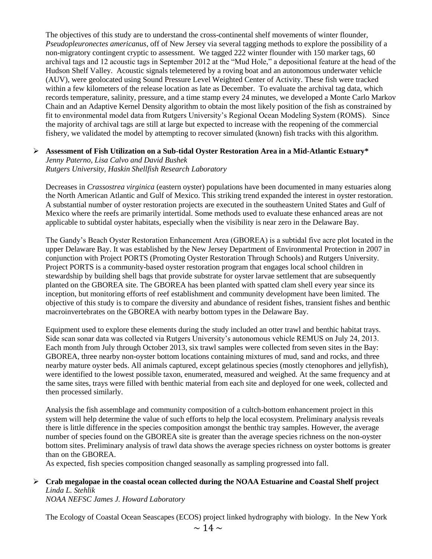The objectives of this study are to understand the cross-continental shelf movements of winter flounder, *Pseudopleuronectes americanus*, off of New Jersey via several tagging methods to explore the possibility of a non-migratory contingent cryptic to assessment. We tagged 222 winter flounder with 150 marker tags, 60 archival tags and 12 acoustic tags in September 2012 at the "Mud Hole," a depositional feature at the head of the Hudson Shelf Valley. Acoustic signals telemetered by a roving boat and an autonomous underwater vehicle (AUV), were geolocated using Sound Pressure Level Weighted Center of Activity. These fish were tracked within a few kilometers of the release location as late as December. To evaluate the archival tag data, which records temperature, salinity, pressure, and a time stamp every 24 minutes, we developed a Monte Carlo Markov Chain and an Adaptive Kernel Density algorithm to obtain the most likely position of the fish as constrained by fit to environmental model data from Rutgers University's Regional Ocean Modeling System (ROMS). Since the majority of archival tags are still at large but expected to increase with the reopening of the commercial fishery, we validated the model by attempting to recover simulated (known) fish tracks with this algorithm.

### **Assessment of Fish Utilization on a Sub-tidal Oyster Restoration Area in a Mid-Atlantic Estuary\***

*Jenny Paterno, Lisa Calvo and David Bushek Rutgers University, Haskin Shellfish Research Laboratory*

Decreases in *Crassostrea virginica* (eastern oyster) populations have been documented in many estuaries along the North American Atlantic and Gulf of Mexico. This striking trend expanded the interest in oyster restoration. A substantial number of oyster restoration projects are executed in the southeastern United States and Gulf of Mexico where the reefs are primarily intertidal. Some methods used to evaluate these enhanced areas are not applicable to subtidal oyster habitats, especially when the visibility is near zero in the Delaware Bay.

The Gandy's Beach Oyster Restoration Enhancement Area (GBOREA) is a subtidal five acre plot located in the upper Delaware Bay. It was established by the New Jersey Department of Environmental Protection in 2007 in conjunction with Project PORTS (Promoting Oyster Restoration Through Schools) and Rutgers University. Project PORTS is a community-based oyster restoration program that engages local school children in stewardship by building shell bags that provide substrate for oyster larvae settlement that are subsequently planted on the GBOREA site. The GBOREA has been planted with spatted clam shell every year since its inception, but monitoring efforts of reef establishment and community development have been limited. The objective of this study is to compare the diversity and abundance of resident fishes, transient fishes and benthic macroinvertebrates on the GBOREA with nearby bottom types in the Delaware Bay.

Equipment used to explore these elements during the study included an otter trawl and benthic habitat trays. Side scan sonar data was collected via Rutgers University's autonomous vehicle REMUS on July 24, 2013. Each month from July through October 2013, six trawl samples were collected from seven sites in the Bay: GBOREA, three nearby non-oyster bottom locations containing mixtures of mud, sand and rocks, and three nearby mature oyster beds. All animals captured, except gelatinous species (mostly ctenophores and jellyfish), were identified to the lowest possible taxon, enumerated, measured and weighed. At the same frequency and at the same sites, trays were filled with benthic material from each site and deployed for one week, collected and then processed similarly.

Analysis the fish assemblage and community composition of a cultch-bottom enhancement project in this system will help determine the value of such efforts to help the local ecosystem. Preliminary analysis reveals there is little difference in the species composition amongst the benthic tray samples. However, the average number of species found on the GBOREA site is greater than the average species richness on the non-oyster bottom sites. Preliminary analysis of trawl data shows the average species richness on oyster bottoms is greater than on the GBOREA.

As expected, fish species composition changed seasonally as sampling progressed into fall.

# **Crab megalopae in the coastal ocean collected during the NOAA Estuarine and Coastal Shelf project** *Linda L. Stehlik*

*NOAA NEFSC James J. Howard Laboratory*

The Ecology of Coastal Ocean Seascapes (ECOS) project linked hydrography with biology. In the New York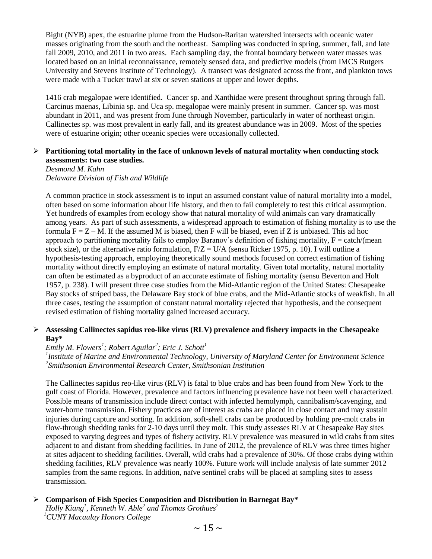Bight (NYB) apex, the estuarine plume from the Hudson-Raritan watershed intersects with oceanic water masses originating from the south and the northeast. Sampling was conducted in spring, summer, fall, and late fall 2009, 2010, and 2011 in two areas. Each sampling day, the frontal boundary between water masses was located based on an initial reconnaissance, remotely sensed data, and predictive models (from IMCS Rutgers University and Stevens Institute of Technology). A transect was designated across the front, and plankton tows were made with a Tucker trawl at six or seven stations at upper and lower depths.

1416 crab megalopae were identified. Cancer sp. and Xanthidae were present throughout spring through fall. Carcinus maenas, Libinia sp. and Uca sp. megalopae were mainly present in summer. Cancer sp. was most abundant in 2011, and was present from June through November, particularly in water of northeast origin. Callinectes sp. was most prevalent in early fall, and its greatest abundance was in 2009. Most of the species were of estuarine origin; other oceanic species were occasionally collected.

#### **Partitioning total mortality in the face of unknown levels of natural mortality when conducting stock assessments: two case studies.**

*Desmond M. Kahn Delaware Division of Fish and Wildlife*

A common practice in stock assessment is to input an assumed constant value of natural mortality into a model, often based on some information about life history, and then to fail completely to test this critical assumption. Yet hundreds of examples from ecology show that natural mortality of wild animals can vary dramatically among years. As part of such assessments, a widespread approach to estimation of fishing mortality is to use the formula  $F = Z - M$ . If the assumed M is biased, then F will be biased, even if Z is unbiased. This ad hoc approach to partitioning mortality fails to employ Baranov's definition of fishing mortality,  $F = \text{catch/(mean)}$ stock size), or the alternative ratio formulation,  $F/Z = U/A$  (sensu Ricker 1975, p. 10). I will outline a hypothesis-testing approach, employing theoretically sound methods focused on correct estimation of fishing mortality without directly employing an estimate of natural mortality. Given total mortality, natural mortality can often be estimated as a byproduct of an accurate estimate of fishing mortality (sensu Beverton and Holt 1957, p. 238). I will present three case studies from the Mid-Atlantic region of the United States: Chesapeake Bay stocks of striped bass, the Delaware Bay stock of blue crabs, and the Mid-Atlantic stocks of weakfish. In all three cases, testing the assumption of constant natural mortality rejected that hypothesis, and the consequent revised estimation of fishing mortality gained increased accuracy.

### **Assessing Callinectes sapidus reo-like virus (RLV) prevalence and fishery impacts in the Chesapeake Bay\***

# *Emily M. Flowers<sup>1</sup> ; Robert Aguilar<sup>2</sup> ; Eric J. Schott<sup>1</sup>*

*1 Institute of Marine and Environmental Technology, University of Maryland Center for Environment Science 2 Smithsonian Environmental Research Center, Smithsonian Institution*

The Callinectes sapidus reo-like virus (RLV) is fatal to blue crabs and has been found from New York to the gulf coast of Florida. However, prevalence and factors influencing prevalence have not been well characterized. Possible means of transmission include direct contact with infected hemolymph, cannibalism/scavenging, and water-borne transmission. Fishery practices are of interest as crabs are placed in close contact and may sustain injuries during capture and sorting. In addition, soft-shell crabs can be produced by holding pre-molt crabs in flow-through shedding tanks for 2-10 days until they molt. This study assesses RLV at Chesapeake Bay sites exposed to varying degrees and types of fishery activity. RLV prevalence was measured in wild crabs from sites adjacent to and distant from shedding facilities. In June of 2012, the prevalence of RLV was three times higher at sites adjacent to shedding facilities. Overall, wild crabs had a prevalence of 30%. Of those crabs dying within shedding facilities, RLV prevalence was nearly 100%. Future work will include analysis of late summer 2012 samples from the same regions. In addition, naïve sentinel crabs will be placed at sampling sites to assess transmission.

# **Comparison of Fish Species Composition and Distribution in Barnegat Bay\***

*Holly Kiang<sup>1</sup> , Kenneth W. Able<sup>2</sup> and Thomas Grothues<sup>2</sup> <sup>1</sup>CUNY Macaulay Honors College*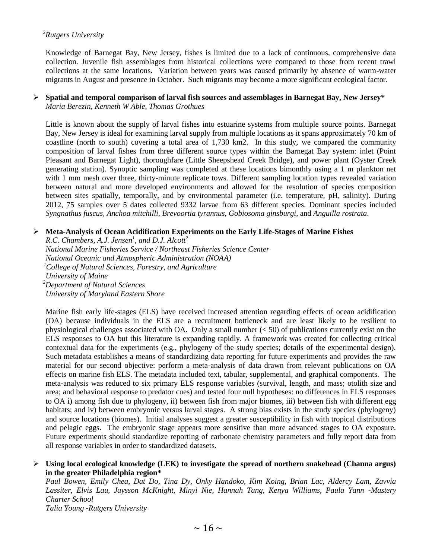# *<sup>2</sup>Rutgers University*

Knowledge of Barnegat Bay, New Jersey, fishes is limited due to a lack of continuous, comprehensive data collection. Juvenile fish assemblages from historical collections were compared to those from recent trawl collections at the same locations. Variation between years was caused primarily by absence of warm-water migrants in August and presence in October. Such migrants may become a more significant ecological factor.

### **Spatial and temporal comparison of larval fish sources and assemblages in Barnegat Bay, New Jersey\*** *Maria Berezin, Kenneth W Able, Thomas Grothues*

Little is known about the supply of larval fishes into estuarine systems from multiple source points. Barnegat Bay, New Jersey is ideal for examining larval supply from multiple locations as it spans approximately 70 km of coastline (north to south) covering a total area of 1,730 km2. In this study, we compared the community composition of larval fishes from three different source types within the Barnegat Bay system: inlet (Point Pleasant and Barnegat Light), thoroughfare (Little Sheepshead Creek Bridge), and power plant (Oyster Creek generating station). Synoptic sampling was completed at these locations bimonthly using a 1 m plankton net with 1 mm mesh over three, thirty-minute replicate tows. Different sampling location types revealed variation between natural and more developed environments and allowed for the resolution of species composition between sites spatially, temporally, and by environmental parameter (i.e. temperature, pH, salinity). During 2012, 75 samples over 5 dates collected 9332 larvae from 63 different species. Dominant species included *Syngnathus fuscus, Anchoa mitchilli, Brevoortia tyrannus, Gobiosoma ginsburgi,* and *Anguilla rostrata*.

# **Meta-Analysis of Ocean Acidification Experiments on the Early Life-Stages of Marine Fishes**

*R.C. Chambers, A.J. Jensen<sup>1</sup> , and D.J. Alcott<sup>2</sup> National Marine Fisheries Service / Northeast Fisheries Science Center National Oceanic and Atmospheric Administration (NOAA) <sup>1</sup>College of Natural Sciences, Forestry, and Agriculture University of Maine <sup>2</sup>Department of Natural Sciences University of Maryland Eastern Shore*

Marine fish early life-stages (ELS) have received increased attention regarding effects of ocean acidification (OA) because individuals in the ELS are a recruitment bottleneck and are least likely to be resilient to physiological challenges associated with OA. Only a small number  $( $50$ ) of publications currently exist on the$ ELS responses to OA but this literature is expanding rapidly. A framework was created for collecting critical contextual data for the experiments (e.g., phylogeny of the study species; details of the experimental design). Such metadata establishes a means of standardizing data reporting for future experiments and provides the raw material for our second objective: perform a meta-analysis of data drawn from relevant publications on OA effects on marine fish ELS. The metadata included text, tabular, supplemental, and graphical components. The meta-analysis was reduced to six primary ELS response variables (survival, length, and mass; otolith size and area; and behavioral response to predator cues) and tested four null hypotheses: no differences in ELS responses to OA i) among fish due to phylogeny, ii) between fish from major biomes, iii) between fish with different egg habitats; and iv) between embryonic versus larval stages. A strong bias exists in the study species (phylogeny) and source locations (biomes). Initial analyses suggest a greater susceptibility in fish with tropical distributions and pelagic eggs. The embryonic stage appears more sensitive than more advanced stages to OA exposure. Future experiments should standardize reporting of carbonate chemistry parameters and fully report data from all response variables in order to standardized datasets.

#### **Using local ecological knowledge (LEK) to investigate the spread of northern snakehead (Channa argus) in the greater Philadelphia region\***

*Paul Bowen, Emily Chea, Dat Do, Tina Dy, Onky Handoko, Kim Koing, Brian Lac, Aldercy Lam, Zavvia Lassiter, Elvis Lau, Jaysson McKnight, Minyi Nie, Hannah Tang, Kenya Williams, Paula Yann -Mastery Charter School*

*Talia Young -Rutgers University*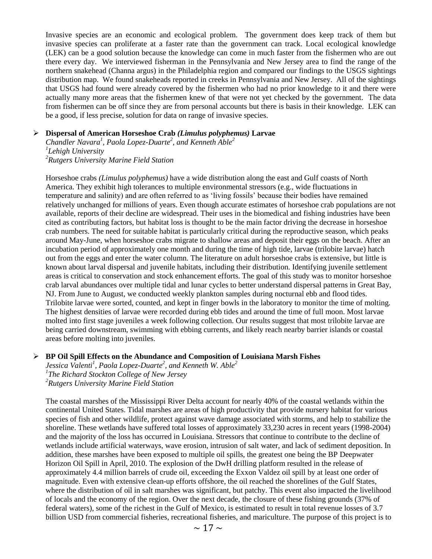Invasive species are an economic and ecological problem. The government does keep track of them but invasive species can proliferate at a faster rate than the government can track. Local ecological knowledge (LEK) can be a good solution because the knowledge can come in much faster from the fishermen who are out there every day. We interviewed fisherman in the Pennsylvania and New Jersey area to find the range of the northern snakehead (Channa argus) in the Philadelphia region and compared our findings to the USGS sightings distribution map. We found snakeheads reported in creeks in Pennsylvania and New Jersey. All of the sightings that USGS had found were already covered by the fishermen who had no prior knowledge to it and there were actually many more areas that the fishermen knew of that were not yet checked by the government. The data from fishermen can be off since they are from personal accounts but there is basis in their knowledge. LEK can be a good, if less precise, solution for data on range of invasive species.

### **Dispersal of American Horseshoe Crab** *(Limulus polyphemus)* **Larvae**

*Chandler Navara<sup>1</sup> , Paola Lopez-Duarte<sup>2</sup> , and Kenneth Able<sup>2</sup> 1 Lehigh University <sup>2</sup>Rutgers University Marine Field Station*

Horseshoe crabs *(Limulus polyphemus)* have a wide distribution along the east and Gulf coasts of North America. They exhibit high tolerances to multiple environmental stressors (e.g., wide fluctuations in temperature and salinity) and are often referred to as 'living fossils' because their bodies have remained relatively unchanged for millions of years. Even though accurate estimates of horseshoe crab populations are not available, reports of their decline are widespread. Their uses in the biomedical and fishing industries have been cited as contributing factors, but habitat loss is thought to be the main factor driving the decrease in horseshoe crab numbers. The need for suitable habitat is particularly critical during the reproductive season, which peaks around May-June, when horseshoe crabs migrate to shallow areas and deposit their eggs on the beach. After an incubation period of approximately one month and during the time of high tide, larvae (trilobite larvae) hatch out from the eggs and enter the water column. The literature on adult horseshoe crabs is extensive, but little is known about larval dispersal and juvenile habitats, including their distribution. Identifying juvenile settlement areas is critical to conservation and stock enhancement efforts. The goal of this study was to monitor horseshoe crab larval abundances over multiple tidal and lunar cycles to better understand dispersal patterns in Great Bay, NJ. From June to August, we conducted weekly plankton samples during nocturnal ebb and flood tides. Trilobite larvae were sorted, counted, and kept in finger bowls in the laboratory to monitor the time of molting. The highest densities of larvae were recorded during ebb tides and around the time of full moon. Most larvae molted into first stage juveniles a week following collection. Our results suggest that most trilobite larvae are being carried downstream, swimming with ebbing currents, and likely reach nearby barrier islands or coastal areas before molting into juveniles.

#### **BP Oil Spill Effects on the Abundance and Composition of Louisiana Marsh Fishes**

*Jessica Valenti<sup>1</sup> , Paola Lopez-Duarte<sup>2</sup> , and Kenneth W. Able<sup>2</sup> 1 The Richard Stockton College of New Jersey <sup>2</sup>Rutgers University Marine Field Station*

The coastal marshes of the Mississippi River Delta account for nearly 40% of the coastal wetlands within the continental United States. Tidal marshes are areas of high productivity that provide nursery habitat for various species of fish and other wildlife, protect against wave damage associated with storms, and help to stabilize the shoreline. These wetlands have suffered total losses of approximately 33,230 acres in recent years (1998-2004) and the majority of the loss has occurred in Louisiana. Stressors that continue to contribute to the decline of wetlands include artificial waterways, wave erosion, intrusion of salt water, and lack of sediment deposition. In addition, these marshes have been exposed to multiple oil spills, the greatest one being the BP Deepwater Horizon Oil Spill in April, 2010. The explosion of the DwH drilling platform resulted in the release of approximately 4.4 million barrels of crude oil, exceeding the Exxon Valdez oil spill by at least one order of magnitude. Even with extensive clean-up efforts offshore, the oil reached the shorelines of the Gulf States, where the distribution of oil in salt marshes was significant, but patchy. This event also impacted the livelihood of locals and the economy of the region. Over the next decade, the closure of these fishing grounds (37% of federal waters), some of the richest in the Gulf of Mexico, is estimated to result in total revenue losses of 3.7 billion USD from commercial fisheries, recreational fisheries, and mariculture. The purpose of this project is to